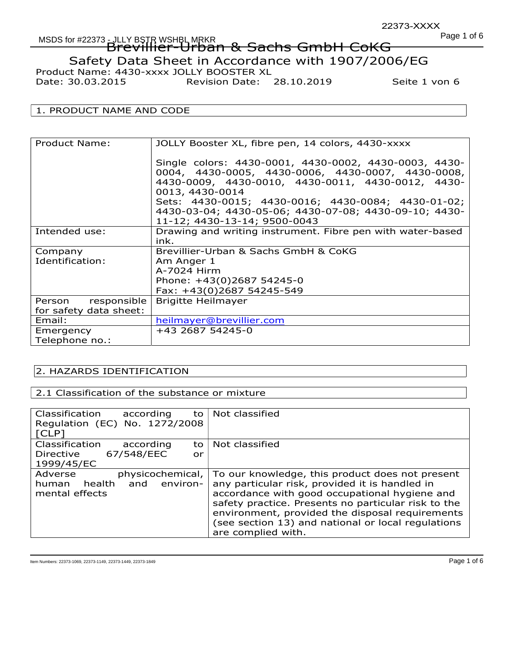Date: 30.03.2015 Revision Date: 28.10.2019 Seite 1 von 6

# 1. PRODUCT NAME AND CODE

| Product Name:                                | JOLLY Booster XL, fibre pen, 14 colors, 4430-xxxx                                                                                                                                                                                                                                                                                 |
|----------------------------------------------|-----------------------------------------------------------------------------------------------------------------------------------------------------------------------------------------------------------------------------------------------------------------------------------------------------------------------------------|
|                                              | Single colors: 4430-0001, 4430-0002, 4430-0003, 4430-<br>0004, 4430-0005, 4430-0006, 4430-0007, 4430-0008,<br>4430-0009, 4430-0010, 4430-0011, 4430-0012, 4430-<br>0013, 4430-0014<br>Sets: 4430-0015; 4430-0016; 4430-0084; 4430-01-02;<br>4430-03-04; 4430-05-06; 4430-07-08; 4430-09-10; 4430-<br>11-12; 4430-13-14; 9500-0043 |
| Intended use:                                | Drawing and writing instrument. Fibre pen with water-based<br>ink.                                                                                                                                                                                                                                                                |
| Company<br>Identification:                   | Brevillier-Urban & Sachs GmbH & CoKG<br>Am Anger 1<br>A-7024 Hirm<br>Phone: +43(0)2687 54245-0<br>Fax: +43(0)2687 54245-549                                                                                                                                                                                                       |
| Person responsible<br>for safety data sheet: | <b>Brigitte Heilmayer</b>                                                                                                                                                                                                                                                                                                         |
| Email:                                       | heilmayer@brevillier.com                                                                                                                                                                                                                                                                                                          |
| Emergency<br>Telephone no.:                  | +43 2687 54245-0                                                                                                                                                                                                                                                                                                                  |

# 2. HAZARDS IDENTIFICATION

## 2.1 Classification of the substance or mixture

| Classification<br>according<br>to<br>Regulation (EC) No. 1272/2008<br>[CLP]             | Not classified                                                                                                                                                                                                                                                                                                                           |
|-----------------------------------------------------------------------------------------|------------------------------------------------------------------------------------------------------------------------------------------------------------------------------------------------------------------------------------------------------------------------------------------------------------------------------------------|
| Classification<br>according<br>to<br>67/548/EEC<br><b>Directive</b><br>or<br>1999/45/EC | Not classified                                                                                                                                                                                                                                                                                                                           |
| Adverse<br>physicochemical,<br>and<br>environ-<br>health<br>human<br>mental effects     | To our knowledge, this product does not present<br>any particular risk, provided it is handled in<br>accordance with good occupational hygiene and<br>safety practice. Presents no particular risk to the<br>environment, provided the disposal requirements<br>(see section 13) and national or local regulations<br>are complied with. |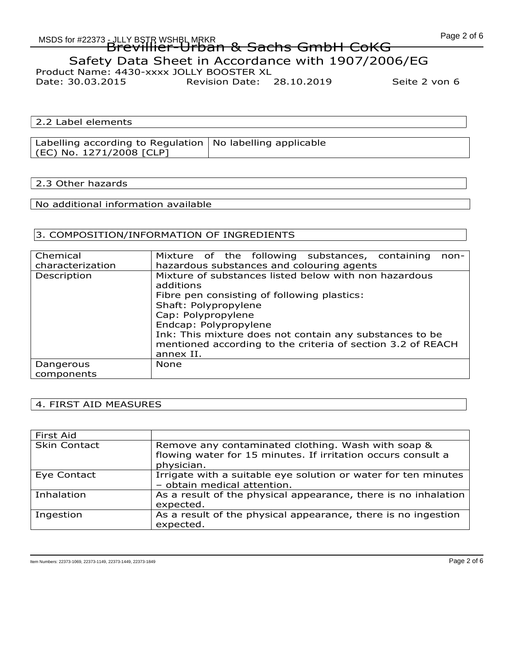Date: 30.03.2015 Revision Date: 28.10.2019 Seite 2 von 6

2.2 Label elements

Labelling according to Regulation No labelling applicable (EC) No. 1271/2008 [CLP]

#### 2.3 Other hazards

No additional information available

## 3. COMPOSITION/INFORMATION OF INGREDIENTS

| Chemical<br>characterization | Mixture of the following substances, containing<br>non-<br>hazardous substances and colouring agents                                                                                                                                                                                                                            |
|------------------------------|---------------------------------------------------------------------------------------------------------------------------------------------------------------------------------------------------------------------------------------------------------------------------------------------------------------------------------|
| Description                  | Mixture of substances listed below with non hazardous<br>additions<br>Fibre pen consisting of following plastics:<br>Shaft: Polypropylene<br>Cap: Polypropylene<br>Endcap: Polypropylene<br>Ink: This mixture does not contain any substances to be<br>mentioned according to the criteria of section 3.2 of REACH<br>annex II. |
| Dangerous<br>components      | <b>None</b>                                                                                                                                                                                                                                                                                                                     |

## 4. FIRST AID MEASURES

| First Aid           |                                                                                                                                  |
|---------------------|----------------------------------------------------------------------------------------------------------------------------------|
| <b>Skin Contact</b> | Remove any contaminated clothing. Wash with soap &<br>flowing water for 15 minutes. If irritation occurs consult a<br>physician. |
| Eye Contact         | Irrigate with a suitable eye solution or water for ten minutes<br>- obtain medical attention.                                    |
| Inhalation          | As a result of the physical appearance, there is no inhalation<br>expected.                                                      |
| Ingestion           | As a result of the physical appearance, there is no ingestion<br>expected.                                                       |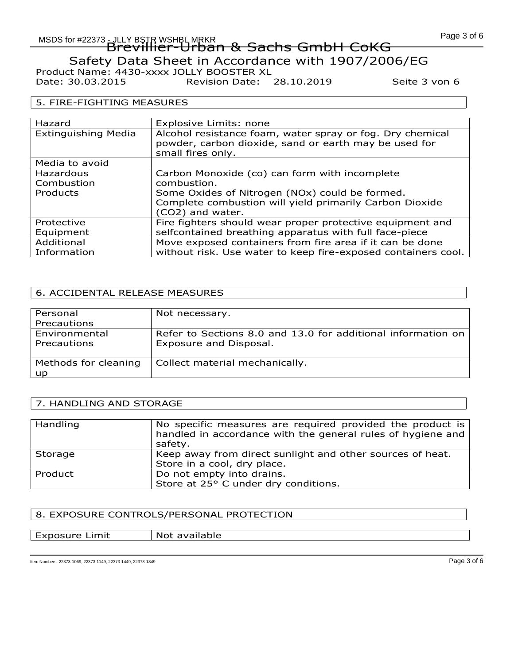Date: 30.03.2015 Revision Date: 28.10.2019 Seite 3 von 6

#### 5. FIRE-FIGHTING MEASURES

| Hazard                     | Explosive Limits: none                                                                                             |
|----------------------------|--------------------------------------------------------------------------------------------------------------------|
| <b>Extinguishing Media</b> | Alcohol resistance foam, water spray or fog. Dry chemical<br>powder, carbon dioxide, sand or earth may be used for |
|                            | small fires only.                                                                                                  |
| Media to avoid             |                                                                                                                    |
| Hazardous                  | Carbon Monoxide (co) can form with incomplete                                                                      |
| Combustion                 | combustion.                                                                                                        |
| Products                   | Some Oxides of Nitrogen (NOx) could be formed.                                                                     |
|                            | Complete combustion will yield primarily Carbon Dioxide                                                            |
|                            | (CO2) and water.                                                                                                   |
| Protective                 | Fire fighters should wear proper protective equipment and                                                          |
| Equipment                  | selfcontained breathing apparatus with full face-piece                                                             |
| Additional                 | Move exposed containers from fire area if it can be done                                                           |
| Information                | without risk. Use water to keep fire-exposed containers cool.                                                      |

# 6. ACCIDENTAL RELEASE MEASURES

| Personal             | Not necessary.                                               |
|----------------------|--------------------------------------------------------------|
| Precautions          |                                                              |
| Environmental        | Refer to Sections 8.0 and 13.0 for additional information on |
| Precautions          | Exposure and Disposal.                                       |
|                      |                                                              |
| Methods for cleaning | Collect material mechanically.                               |
| up.                  |                                                              |

## 7. HANDLING AND STORAGE

| Handling | No specific measures are required provided the product is<br>handled in accordance with the general rules of hygiene and<br>safety. |
|----------|-------------------------------------------------------------------------------------------------------------------------------------|
| Storage  | Keep away from direct sunlight and other sources of heat.                                                                           |
|          | Store in a cool, dry place.                                                                                                         |
| Product  | Do not empty into drains.                                                                                                           |
|          | Store at 25° C under dry conditions.                                                                                                |

## 8. EXPOSURE CONTROLS/PERSONAL PROTECTION

| Exposure Limit | Not available |
|----------------|---------------|
|----------------|---------------|

Item Numbers: 22373-1069, 22373-1149, 22373-1449, 22373-1849 **Page 3 of 6**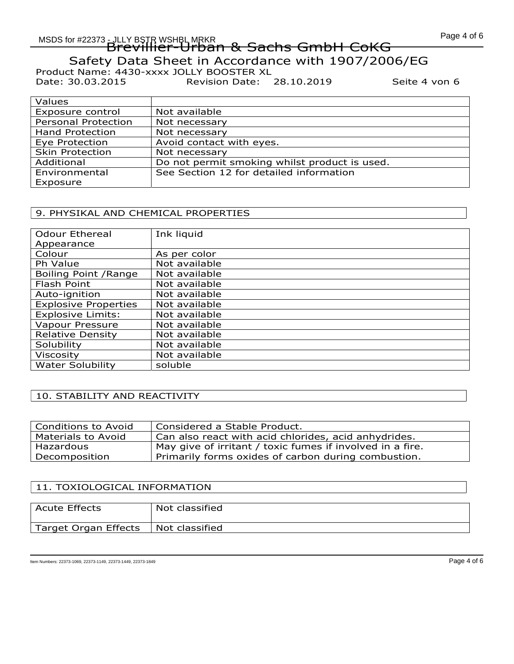Date: 30.03.2015 Revision Date: 28.10.2019 Seite 4 von 6

| Values                     |                                               |
|----------------------------|-----------------------------------------------|
| Exposure control           | Not available                                 |
| <b>Personal Protection</b> | Not necessary                                 |
| <b>Hand Protection</b>     | Not necessary                                 |
| Eye Protection             | Avoid contact with eyes.                      |
| <b>Skin Protection</b>     | Not necessary                                 |
| Additional                 | Do not permit smoking whilst product is used. |
| Environmental              | See Section 12 for detailed information       |
| Exposure                   |                                               |

## 9. PHYSIKAL AND CHEMICAL PROPERTIES

| <b>Odour Ethereal</b>       | Ink liquid    |
|-----------------------------|---------------|
| Appearance                  |               |
| Colour                      | As per color  |
| Ph Value                    | Not available |
| Boiling Point / Range       | Not available |
| Flash Point                 | Not available |
| Auto-ignition               | Not available |
| <b>Explosive Properties</b> | Not available |
| <b>Explosive Limits:</b>    | Not available |
| Vapour Pressure             | Not available |
| <b>Relative Density</b>     | Not available |
| Solubility                  | Not available |
| <b>Viscosity</b>            | Not available |
| <b>Water Solubility</b>     | soluble       |

# 10. STABILITY AND REACTIVITY

| <b>Conditions to Avoid</b> | Considered a Stable Product.                              |
|----------------------------|-----------------------------------------------------------|
| Materials to Avoid         | Can also react with acid chlorides, acid anhydrides.      |
| Hazardous                  | May give of irritant / toxic fumes if involved in a fire. |
| Decomposition              | Primarily forms oxides of carbon during combustion.       |
|                            |                                                           |

#### 11. TOXIOLOGICAL INFORMATION

| <b>Acute Effects</b> | Not classified |
|----------------------|----------------|
| Target Organ Effects | Not classified |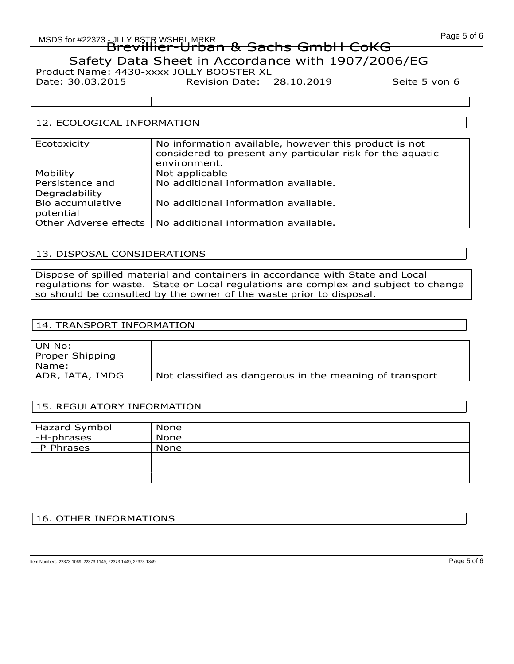# MSDS for #22373 - JLLY BSTR WSHBL MRKR AND AND ALLY AND MSDS for #22373 Brevillier-Urban & Sachs GmbH CoKG Safety Data Sheet in Accordance with 1907/2006/EG Product Name: 4430-xxxx JOLLY BOOSTER XL

Date: 30.03.2015 Revision Date: 28.10.2019 Seite 5 von 6

## 12. ECOLOGICAL INFORMATION

| Ecotoxicity           | No information available, however this product is not<br>considered to present any particular risk for the aquatic<br>environment. |
|-----------------------|------------------------------------------------------------------------------------------------------------------------------------|
| Mobility              | Not applicable                                                                                                                     |
| Persistence and       | No additional information available.                                                                                               |
| Degradability         |                                                                                                                                    |
| Bio accumulative      | No additional information available.                                                                                               |
| potential             |                                                                                                                                    |
| Other Adverse effects | No additional information available.                                                                                               |

## 13. DISPOSAL CONSIDERATIONS

Dispose of spilled material and containers in accordance with State and Local regulations for waste. State or Local regulations are complex and subject to change so should be consulted by the owner of the waste prior to disposal.

## 14. TRANSPORT INFORMATION

| ' UN No:         |                                                         |
|------------------|---------------------------------------------------------|
| Proper Shipping  |                                                         |
| Name:            |                                                         |
| ADR, IATA, IMDG! | Not classified as dangerous in the meaning of transport |

## 15. REGULATORY INFORMATION

| Hazard Symbol | <b>None</b> |
|---------------|-------------|
| ' -H-phrases  | None        |
| -P-Phrases    | None        |
|               |             |
|               |             |
|               |             |

## 16. OTHER INFORMATIONS